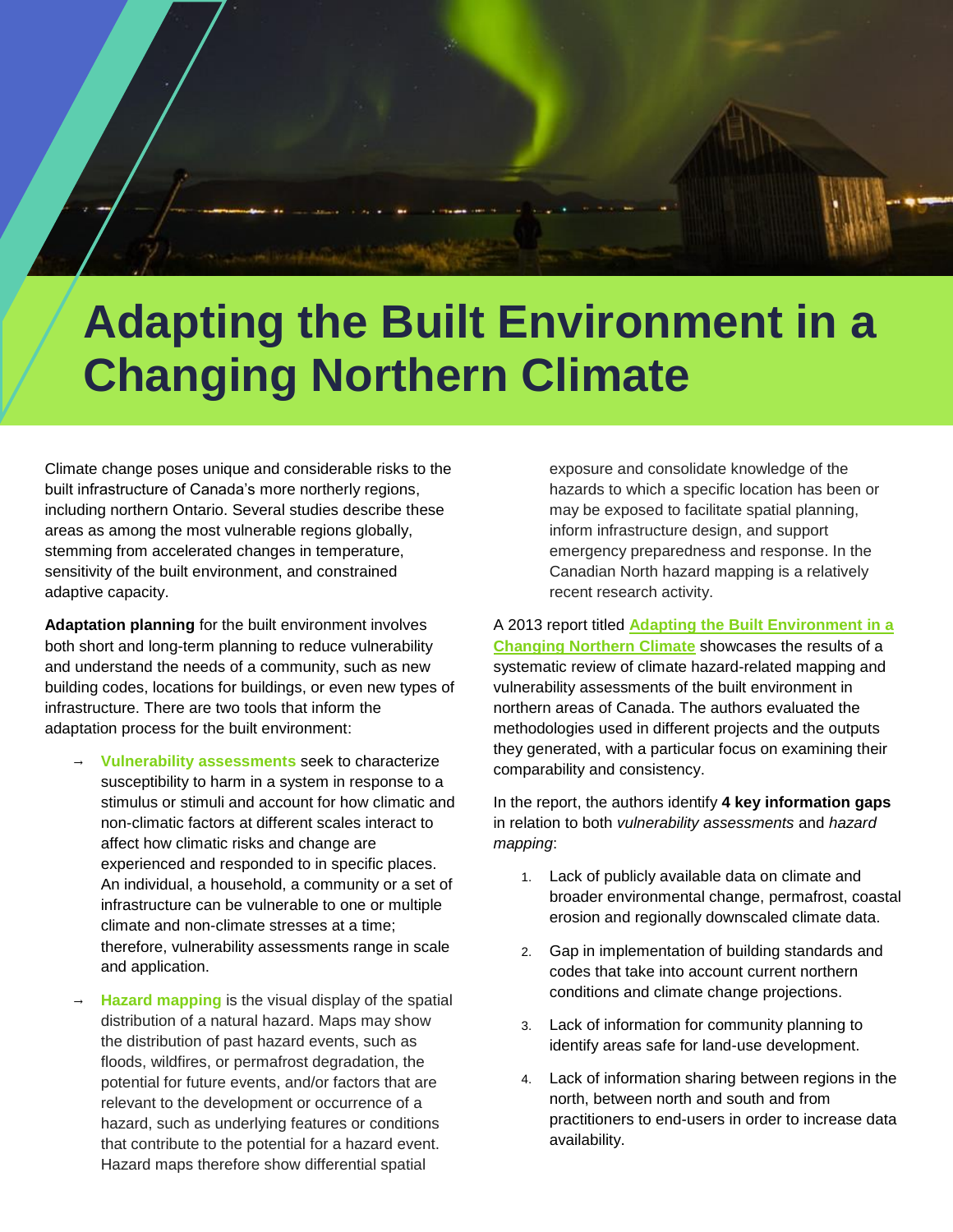

## **Adapting the Built Environment in a Changing Northern Climate**

Climate change poses unique and considerable risks to the built infrastructure of Canada's more northerly regions, including northern Ontario. Several studies describe these areas as among the most vulnerable regions globally, stemming from accelerated changes in temperature, sensitivity of the built environment, and constrained adaptive capacity.

**Adaptation planning** for the built environment involves both short and long-term planning to reduce vulnerability and understand the needs of a community, such as new building codes, locations for buildings, or even new types of infrastructure. There are two tools that inform the adaptation process for the built environment:

- **Vulnerability assessments seek to characterize** susceptibility to harm in a system in response to a stimulus or stimuli and account for how climatic and non-climatic factors at different scales interact to affect how climatic risks and change are experienced and responded to in specific places. An individual, a household, a community or a set of infrastructure can be vulnerable to one or multiple climate and non-climate stresses at a time; therefore, vulnerability assessments range in scale and application.
- **Hazard mapping** is the visual display of the spatial distribution of a natural hazard. Maps may show the distribution of past hazard events, such as floods, wildfires, or permafrost degradation, the potential for future events, and/or factors that are relevant to the development or occurrence of a hazard, such as underlying features or conditions that contribute to the potential for a hazard event. Hazard maps therefore show differential spatial

exposure and consolidate knowledge of the hazards to which a specific location has been or may be exposed to facilitate spatial planning, inform infrastructure design, and support emergency preparedness and response. In the Canadian North hazard mapping is a relatively recent research activity.

A 2013 report titled **Adapting the Built Environment in a Changing Northern Climate** showcases the results of a systematic review of climate hazard-related mapping and vulnerability assessments of the built environment in northern areas of Canada. The authors evaluated the methodologies used in different projects and the outputs they generated, with a particular focus on examining their comparability and consistency.

In the report, the authors identify **4 key information gaps** in relation to both *vulnerability assessments* and *hazard mapping*:

- 1. Lack of publicly available data on climate and broader environmental change, permafrost, coastal erosion and regionally downscaled climate data.
- 2. Gap in implementation of building standards and codes that take into account current northern conditions and climate change projections.
- 3. Lack of information for community planning to identify areas safe for land-use development.
- 4. Lack of information sharing between regions in the north, between north and south and from practitioners to end-users in order to increase data availability.